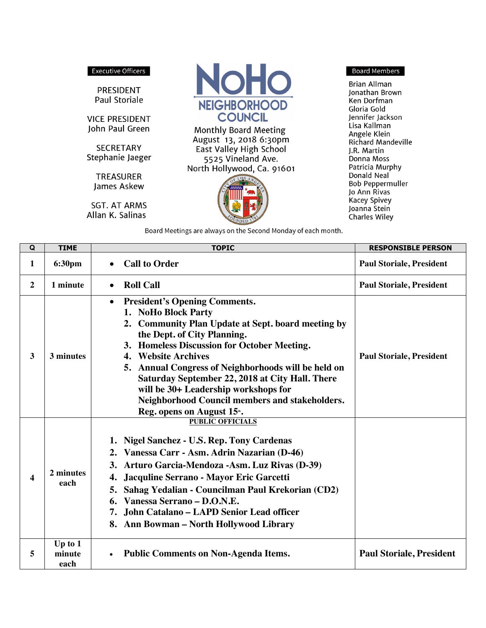## Executive Officers

PRESIDENT Paul Storiale

**VICE PRESIDENT** John Paul Green

**SECRETARY** Stephanie Jaeger

James Askew **SGT. AT ARMS** 

**TREASURER** 

Allan K. Salinas



**Monthly Board Meeting** August 13, 2018 6:30pm East Valley High School 5525 Vineland Ave. North Hollywood, Ca. 91601



**Board Members** 

**Brian Allman** Jonathan Brown Ken Dorfman Gloria Gold Jennifer Jackson Lisa Kallman Angele Klein **Richard Mandeville** J.R. Martin Donna Moss Patricia Murphy Donald Neal **Bob Peppermuller** Jo Ann Rivas **Kacey Spivey** Joanna Stein **Charles Wiley** 

Board Meetings are always on the Second Monday of each month.

| Q                | <b>TIME</b>                 | <b>TOPIC</b>                                                                                                                                                                                                                                                                                                                                                                                                                                                                       | <b>RESPONSIBLE PERSON</b>       |
|------------------|-----------------------------|------------------------------------------------------------------------------------------------------------------------------------------------------------------------------------------------------------------------------------------------------------------------------------------------------------------------------------------------------------------------------------------------------------------------------------------------------------------------------------|---------------------------------|
| 1                | 6:30pm                      | <b>Call to Order</b>                                                                                                                                                                                                                                                                                                                                                                                                                                                               | <b>Paul Storiale, President</b> |
| $\boldsymbol{2}$ | 1 minute                    | <b>Roll Call</b>                                                                                                                                                                                                                                                                                                                                                                                                                                                                   | <b>Paul Storiale, President</b> |
| 3                | 3 minutes                   | <b>President's Opening Comments.</b><br>$\bullet$<br>1. NoHo Block Party<br>2. Community Plan Update at Sept. board meeting by<br>the Dept. of City Planning.<br>3. Homeless Discussion for October Meeting.<br>4. Website Archives<br>5. Annual Congress of Neighborhoods will be held on<br>Saturday September 22, 2018 at City Hall. There<br>will be 30+ Leadership workshops for<br>Neighborhood Council members and stakeholders.<br>Reg. opens on August 15 <sup>th</sup> . | <b>Paul Storiale, President</b> |
| 4                | 2 minutes<br>each           | <b>PUBLIC OFFICIALS</b><br>1. Nigel Sanchez - U.S. Rep. Tony Cardenas<br>2. Vanessa Carr - Asm. Adrin Nazarian (D-46)<br>3. Arturo Garcia-Mendoza - Asm. Luz Rivas (D-39)<br>Jacquline Serrano - Mayor Eric Garcetti<br>4.<br>Sahag Yedalian - Councilman Paul Krekorian (CD2)<br>5.<br>Vanessa Serrano - D.O.N.E.<br>John Catalano - LAPD Senior Lead officer<br>7.<br>8. Ann Bowman – North Hollywood Library                                                                    |                                 |
| 5                | Up to $1$<br>minute<br>each | <b>Public Comments on Non-Agenda Items.</b>                                                                                                                                                                                                                                                                                                                                                                                                                                        | <b>Paul Storiale, President</b> |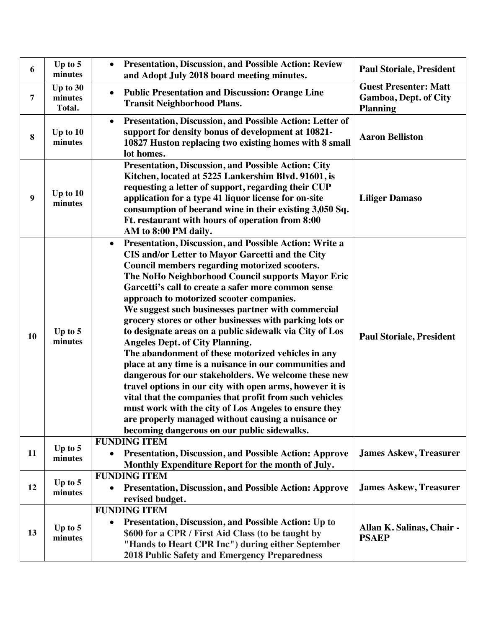| 6              | Up to 5<br>minutes            | <b>Presentation, Discussion, and Possible Action: Review</b><br>$\bullet$<br>and Adopt July 2018 board meeting minutes.                                                                                                                                                                                                                                                                                                                                                                                                                                                                                                                                                                                                                                                                                                                                                                                                                                                                                             | <b>Paul Storiale, President</b>                                                 |
|----------------|-------------------------------|---------------------------------------------------------------------------------------------------------------------------------------------------------------------------------------------------------------------------------------------------------------------------------------------------------------------------------------------------------------------------------------------------------------------------------------------------------------------------------------------------------------------------------------------------------------------------------------------------------------------------------------------------------------------------------------------------------------------------------------------------------------------------------------------------------------------------------------------------------------------------------------------------------------------------------------------------------------------------------------------------------------------|---------------------------------------------------------------------------------|
| $\overline{7}$ | Up to 30<br>minutes<br>Total. | <b>Public Presentation and Discussion: Orange Line</b><br>$\bullet$<br><b>Transit Neighborhood Plans.</b>                                                                                                                                                                                                                                                                                                                                                                                                                                                                                                                                                                                                                                                                                                                                                                                                                                                                                                           | <b>Guest Presenter: Matt</b><br><b>Gamboa, Dept. of City</b><br><b>Planning</b> |
| 8              | Up to $10$<br>minutes         | <b>Presentation, Discussion, and Possible Action: Letter of</b><br>$\bullet$<br>support for density bonus of development at 10821-<br>10827 Huston replacing two existing homes with 8 small<br>lot homes.                                                                                                                                                                                                                                                                                                                                                                                                                                                                                                                                                                                                                                                                                                                                                                                                          | <b>Aaron Belliston</b>                                                          |
| 9              | Up to $10$<br>minutes         | <b>Presentation, Discussion, and Possible Action: City</b><br>Kitchen, located at 5225 Lankershim Blvd. 91601, is<br>requesting a letter of support, regarding their CUP<br>application for a type 41 liquor license for on-site<br>consumption of beerand wine in their existing 3,050 Sq.<br>Ft. restaurant with hours of operation from 8:00<br>AM to 8:00 PM daily.                                                                                                                                                                                                                                                                                                                                                                                                                                                                                                                                                                                                                                             | <b>Liliger Damaso</b>                                                           |
| 10             | Up to 5<br>minutes            | Presentation, Discussion, and Possible Action: Write a<br>$\bullet$<br>CIS and/or Letter to Mayor Garcetti and the City<br>Council members regarding motorized scooters.<br>The NoHo Neighborhood Council supports Mayor Eric<br>Garcetti's call to create a safer more common sense<br>approach to motorized scooter companies.<br>We suggest such businesses partner with commercial<br>grocery stores or other businesses with parking lots or<br>to designate areas on a public sidewalk via City of Los<br><b>Angeles Dept. of City Planning.</b><br>The abandonment of these motorized vehicles in any<br>place at any time is a nuisance in our communities and<br>dangerous for our stakeholders. We welcome these new<br>travel options in our city with open arms, however it is<br>vital that the companies that profit from such vehicles<br>must work with the city of Los Angeles to ensure they<br>are properly managed without causing a nuisance or<br>becoming dangerous on our public sidewalks. | <b>Paul Storiale, President</b>                                                 |
| 11             | Up to $5$<br>minutes          | <b>FUNDING ITEM</b><br><b>Presentation, Discussion, and Possible Action: Approve</b><br>$\bullet$<br>Monthly Expenditure Report for the month of July.                                                                                                                                                                                                                                                                                                                                                                                                                                                                                                                                                                                                                                                                                                                                                                                                                                                              | <b>James Askew, Treasurer</b>                                                   |
| 12             | Up to $5$<br>minutes          | <b>FUNDING ITEM</b><br><b>Presentation, Discussion, and Possible Action: Approve</b><br>$\bullet$<br>revised budget.                                                                                                                                                                                                                                                                                                                                                                                                                                                                                                                                                                                                                                                                                                                                                                                                                                                                                                | <b>James Askew, Treasurer</b>                                                   |
| 13             | Up to $5$<br>minutes          | <b>FUNDING ITEM</b><br><b>Presentation, Discussion, and Possible Action: Up to</b><br>$\bullet$<br>\$600 for a CPR / First Aid Class (to be taught by<br>"Hands to Heart CPR Inc") during either September<br>2018 Public Safety and Emergency Preparedness                                                                                                                                                                                                                                                                                                                                                                                                                                                                                                                                                                                                                                                                                                                                                         | Allan K. Salinas, Chair -<br><b>PSAEP</b>                                       |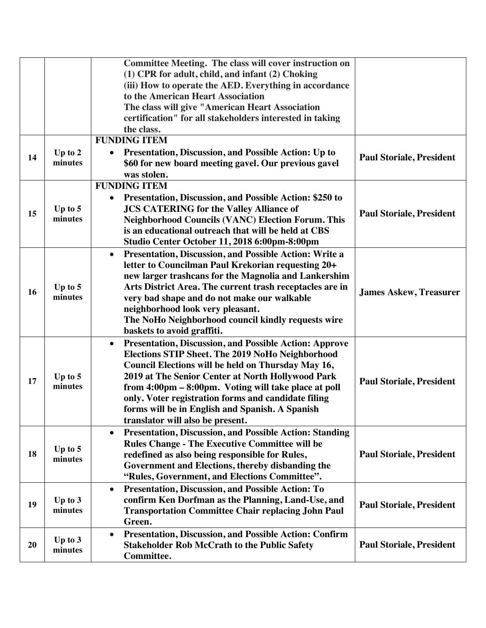|    |                      | <b>Committee Meeting. The class will cover instruction on</b><br>(1) CPR for adult, child, and infant (2) Choking<br>(iii) How to operate the AED. Everything in accordance<br>to the American Heart Association<br>The class will give "American Heart Association<br>certification" for all stakeholders interested in taking<br>the class.                                                                                                   |                                 |
|----|----------------------|-------------------------------------------------------------------------------------------------------------------------------------------------------------------------------------------------------------------------------------------------------------------------------------------------------------------------------------------------------------------------------------------------------------------------------------------------|---------------------------------|
| 14 | Up to $2$<br>minutes | <b>FUNDING ITEM</b><br>Presentation, Discussion, and Possible Action: Up to<br>$\bullet$<br>\$60 for new board meeting gavel. Our previous gavel<br>was stolen.                                                                                                                                                                                                                                                                                 | <b>Paul Storiale, President</b> |
| 15 | Up to $5$<br>minutes | <b>FUNDING ITEM</b><br><b>Presentation, Discussion, and Possible Action: \$250 to</b><br>$\bullet$<br><b>JCS CATERING for the Valley Alliance of</b><br><b>Neighborhood Councils (VANC) Election Forum. This</b><br>is an educational outreach that will be held at CBS<br>Studio Center October 11, 2018 6:00pm-8:00pm                                                                                                                         | <b>Paul Storiale, President</b> |
| 16 | Up to $5$<br>minutes | Presentation, Discussion, and Possible Action: Write a<br>$\bullet$<br>letter to Councilman Paul Krekorian requesting 20+<br>new larger trashcans for the Magnolia and Lankershim<br>Arts District Area. The current trash receptacles are in<br>very bad shape and do not make our walkable<br>neighborhood look very pleasant.<br>The NoHo Neighborhood council kindly requests wire<br>baskets to avoid graffiti.                            | <b>James Askew, Treasurer</b>   |
| 17 | Up to $5$<br>minutes | Presentation, Discussion, and Possible Action: Approve<br>$\bullet$<br><b>Elections STIP Sheet. The 2019 NoHo Neighborhood</b><br>Council Elections will be held on Thursday May 16,<br>2019 at The Senior Center at North Hollywood Park<br>from 4:00pm - 8:00pm. Voting will take place at poll<br>only. Voter registration forms and candidate filing<br>forms will be in English and Spanish. A Spanish<br>translator will also be present. | <b>Paul Storiale, President</b> |
| 18 | Up to $5$<br>minutes | <b>Presentation, Discussion, and Possible Action: Standing</b><br>$\bullet$<br><b>Rules Change - The Executive Committee will be</b><br>redefined as also being responsible for Rules,<br>Government and Elections, thereby disbanding the<br>"Rules, Government, and Elections Committee".                                                                                                                                                     | <b>Paul Storiale, President</b> |
| 19 | Up to $3$<br>minutes | Presentation, Discussion, and Possible Action: To<br>$\bullet$<br>confirm Ken Dorfman as the Planning, Land-Use, and<br><b>Transportation Committee Chair replacing John Paul</b><br>Green.                                                                                                                                                                                                                                                     | <b>Paul Storiale, President</b> |
| 20 | Up to $3$<br>minutes | <b>Presentation, Discussion, and Possible Action: Confirm</b><br>$\bullet$<br><b>Stakeholder Rob McCrath to the Public Safety</b><br>Committee.                                                                                                                                                                                                                                                                                                 | <b>Paul Storiale, President</b> |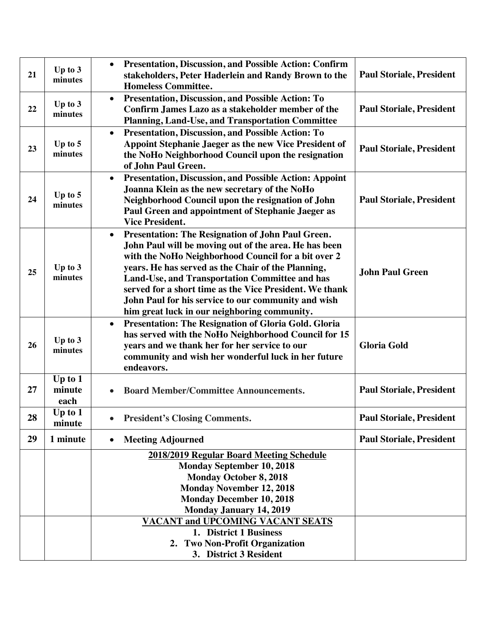| 21 | Up to $3$<br>minutes        | <b>Presentation, Discussion, and Possible Action: Confirm</b><br>$\bullet$<br>stakeholders, Peter Haderlein and Randy Brown to the<br><b>Homeless Committee.</b>                                                                                                                                                                                                                                                                                         | <b>Paul Storiale, President</b> |
|----|-----------------------------|----------------------------------------------------------------------------------------------------------------------------------------------------------------------------------------------------------------------------------------------------------------------------------------------------------------------------------------------------------------------------------------------------------------------------------------------------------|---------------------------------|
| 22 | Up to $3$<br>minutes        | Presentation, Discussion, and Possible Action: To<br>$\bullet$<br>Confirm James Lazo as a stakeholder member of the<br>Planning, Land-Use, and Transportation Committee                                                                                                                                                                                                                                                                                  | <b>Paul Storiale, President</b> |
| 23 | Up to 5<br>minutes          | Presentation, Discussion, and Possible Action: To<br>$\bullet$<br>Appoint Stephanie Jaeger as the new Vice President of<br>the NoHo Neighborhood Council upon the resignation<br>of John Paul Green.                                                                                                                                                                                                                                                     | <b>Paul Storiale, President</b> |
| 24 | Up to 5<br>minutes          | <b>Presentation, Discussion, and Possible Action: Appoint</b><br>$\bullet$<br>Joanna Klein as the new secretary of the NoHo<br>Neighborhood Council upon the resignation of John<br>Paul Green and appointment of Stephanie Jaeger as<br><b>Vice President.</b>                                                                                                                                                                                          | <b>Paul Storiale, President</b> |
| 25 | Up to $3$<br>minutes        | Presentation: The Resignation of John Paul Green.<br>$\bullet$<br>John Paul will be moving out of the area. He has been<br>with the NoHo Neighborhood Council for a bit over 2<br>years. He has served as the Chair of the Planning,<br>Land-Use, and Transportation Committee and has<br>served for a short time as the Vice President. We thank<br>John Paul for his service to our community and wish<br>him great luck in our neighboring community. | <b>John Paul Green</b>          |
| 26 | Up to $3$<br>minutes        | Presentation: The Resignation of Gloria Gold. Gloria<br>$\bullet$<br>has served with the NoHo Neighborhood Council for 15<br>years and we thank her for her service to our<br>community and wish her wonderful luck in her future<br>endeavors.                                                                                                                                                                                                          | <b>Gloria Gold</b>              |
| 27 | Up to $1$<br>minute<br>each | <b>Board Member/Committee Announcements.</b>                                                                                                                                                                                                                                                                                                                                                                                                             | <b>Paul Storiale, President</b> |
| 28 | Up to $1$<br>minute         | <b>President's Closing Comments.</b>                                                                                                                                                                                                                                                                                                                                                                                                                     | <b>Paul Storiale, President</b> |
| 29 | 1 minute                    | <b>Meeting Adjourned</b><br>$\bullet$                                                                                                                                                                                                                                                                                                                                                                                                                    | <b>Paul Storiale, President</b> |
|    |                             | 2018/2019 Regular Board Meeting Schedule<br><b>Monday September 10, 2018</b><br><b>Monday October 8, 2018</b><br><b>Monday November 12, 2018</b><br><b>Monday December 10, 2018</b><br><b>Monday January 14, 2019</b>                                                                                                                                                                                                                                    |                                 |
|    |                             | <b>VACANT and UPCOMING VACANT SEATS</b><br>1. District 1 Business<br>2. Two Non-Profit Organization<br>3. District 3 Resident                                                                                                                                                                                                                                                                                                                            |                                 |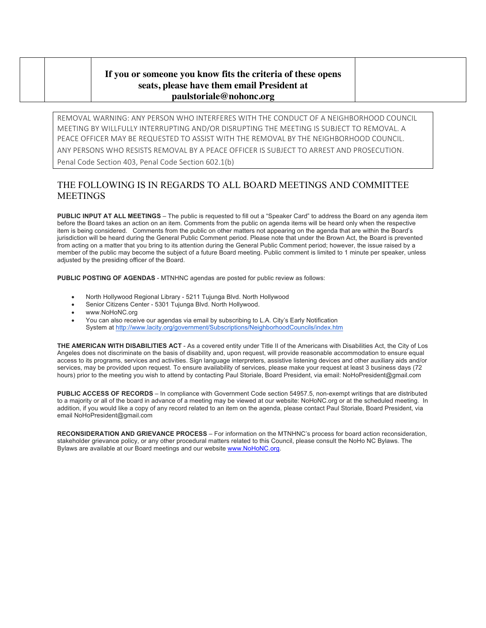## **If you or someone you know fits the criteria of these opens seats, please have them email President at paulstoriale@nohonc.org**

REMOVAL WARNING: ANY PERSON WHO INTERFERES WITH THE CONDUCT OF A NEIGHBORHOOD COUNCIL MEETING BY WILLFULLY INTERRUPTING AND/OR DISRUPTING THE MEETING IS SUBJECT TO REMOVAL. A PEACE OFFICER MAY BE REQUESTED TO ASSIST WITH THE REMOVAL BY THE NEIGHBORHOOD COUNCIL. ANY PERSONS WHO RESISTS REMOVAL BY A PEACE OFFICER IS SUBJECT TO ARREST AND PROSECUTION.

Penal Code Section 403, Penal Code Section 602.1(b)

## THE FOLLOWING IS IN REGARDS TO ALL BOARD MEETINGS AND COMMITTEE MEETINGS

**PUBLIC INPUT AT ALL MEETINGS** – The public is requested to fill out a "Speaker Card" to address the Board on any agenda item before the Board takes an action on an item. Comments from the public on agenda items will be heard only when the respective item is being considered. Comments from the public on other matters not appearing on the agenda that are within the Board's jurisdiction will be heard during the General Public Comment period. Please note that under the Brown Act, the Board is prevented from acting on a matter that you bring to its attention during the General Public Comment period; however, the issue raised by a member of the public may become the subject of a future Board meeting. Public comment is limited to 1 minute per speaker, unless adjusted by the presiding officer of the Board.

**PUBLIC POSTING OF AGENDAS** - MTNHNC agendas are posted for public review as follows:

- North Hollywood Regional Library 5211 Tujunga Blvd. North Hollywood
- Senior Citizens Center 5301 Tujunga Blvd. North Hollywood.
- www.NoHoNC.org
- You can also receive our agendas via email by subscribing to L.A. City's Early Notification System at http://www.lacity.org/government/Subscriptions/NeighborhoodCouncils/index.htm

**THE AMERICAN WITH DISABILITIES ACT** - As a covered entity under Title II of the Americans with Disabilities Act, the City of Los Angeles does not discriminate on the basis of disability and, upon request, will provide reasonable accommodation to ensure equal access to its programs, services and activities. Sign language interpreters, assistive listening devices and other auxiliary aids and/or services, may be provided upon request. To ensure availability of services, please make your request at least 3 business days (72 hours) prior to the meeting you wish to attend by contacting Paul Storiale, Board President, via email: NoHoPresident@gmail.com

**PUBLIC ACCESS OF RECORDS** – In compliance with Government Code section 54957.5, non-exempt writings that are distributed to a majority or all of the board in advance of a meeting may be viewed at our website: NoHoNC.org or at the scheduled meeting. In addition, if you would like a copy of any record related to an item on the agenda, please contact Paul Storiale, Board President, via email NoHoPresident@gmail.com

**RECONSIDERATION AND GRIEVANCE PROCESS** – For information on the MTNHNC's process for board action reconsideration, stakeholder grievance policy, or any other procedural matters related to this Council, please consult the NoHo NC Bylaws. The Bylaws are available at our Board meetings and our website www.NoHoNC.org.